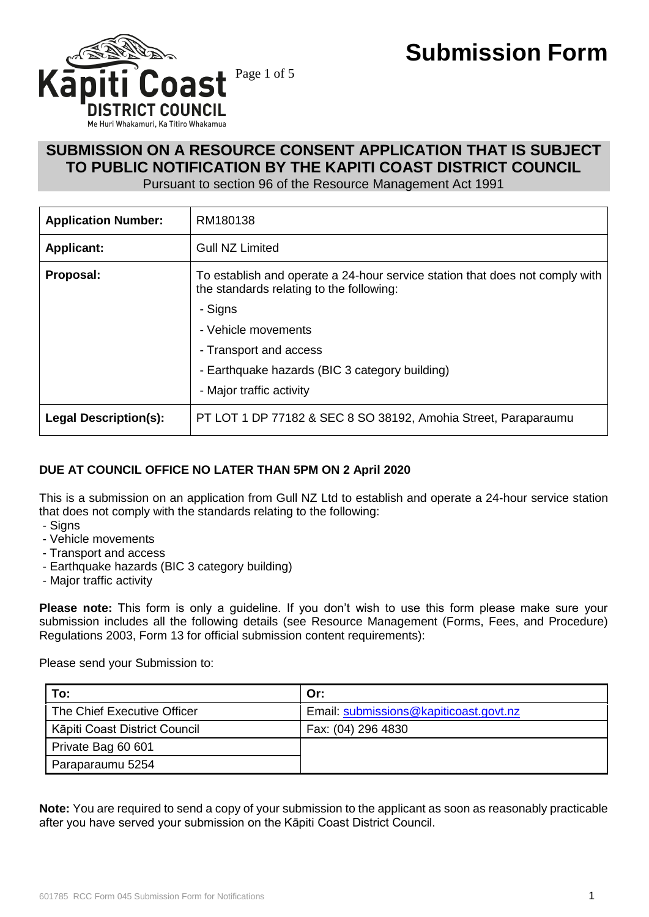

# **SUBMISSION ON A RESOURCE CONSENT APPLICATION THAT IS SUBJECT TO PUBLIC NOTIFICATION BY THE KAPITI COAST DISTRICT COUNCIL**

Pursuant to section 96 of the Resource Management Act 1991

| <b>Application Number:</b>   | RM180138                                                                                                                 |  |
|------------------------------|--------------------------------------------------------------------------------------------------------------------------|--|
| <b>Applicant:</b>            | <b>Gull NZ Limited</b>                                                                                                   |  |
| Proposal:                    | To establish and operate a 24-hour service station that does not comply with<br>the standards relating to the following: |  |
|                              | - Signs                                                                                                                  |  |
|                              | - Vehicle movements                                                                                                      |  |
|                              | - Transport and access                                                                                                   |  |
|                              | - Earthquake hazards (BIC 3 category building)                                                                           |  |
|                              | - Major traffic activity                                                                                                 |  |
| <b>Legal Description(s):</b> | PT LOT 1 DP 77182 & SEC 8 SO 38192, Amohia Street, Paraparaumu                                                           |  |

## **DUE AT COUNCIL OFFICE NO LATER THAN 5PM ON 2 April 2020**

This is a submission on an application from Gull NZ Ltd to establish and operate a 24-hour service station that does not comply with the standards relating to the following:

- Signs
- Vehicle movements
- Transport and access
- Earthquake hazards (BIC 3 category building)
- Major traffic activity

**Please note:** This form is only a guideline. If you don't wish to use this form please make sure your submission includes all the following details (see Resource Management (Forms, Fees, and Procedure) Regulations 2003, Form 13 for official submission content requirements):

Please send your Submission to:

| To:                           | Or:                                    |
|-------------------------------|----------------------------------------|
| The Chief Executive Officer   | Email: submissions@kapiticoast.govt.nz |
| Kāpiti Coast District Council | Fax: (04) 296 4830                     |
| Private Bag 60 601            |                                        |
| Paraparaumu 5254              |                                        |

**Note:** You are required to send a copy of your submission to the applicant as soon as reasonably practicable after you have served your submission on the Kāpiti Coast District Council.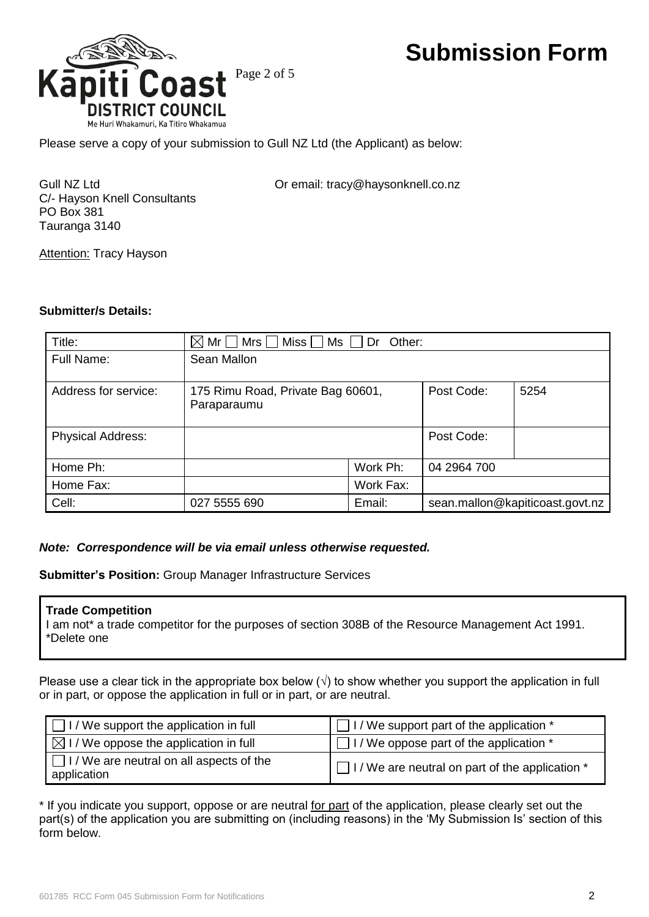

Please serve a copy of your submission to Gull NZ Ltd (the Applicant) as below:

C/- Hayson Knell Consultants PO Box 381 Tauranga 3140

Gull NZ Ltd **Call Community** Or email: tracy@haysonknell.co.nz

**Attention: Tracy Hayson** 

#### **Submitter/s Details:**

| Title:                   | $\boxtimes$ Mr $\Box$ Mrs $\Box$ Miss $\Box$ Ms $\Box$ Dr Other: |           |                                 |      |  |
|--------------------------|------------------------------------------------------------------|-----------|---------------------------------|------|--|
| <b>Full Name:</b>        | Sean Mallon                                                      |           |                                 |      |  |
| Address for service:     | 175 Rimu Road, Private Bag 60601,<br>Paraparaumu                 |           | Post Code:                      | 5254 |  |
| <b>Physical Address:</b> |                                                                  |           | Post Code:                      |      |  |
| Home Ph:                 |                                                                  | Work Ph:  | 04 2964 700                     |      |  |
| Home Fax:                |                                                                  | Work Fax: |                                 |      |  |
| Cell:                    | 027 5555 690                                                     | Email:    | sean.mallon@kapiticoast.govt.nz |      |  |

### *Note: Correspondence will be via email unless otherwise requested.*

**Submitter's Position:** Group Manager Infrastructure Services

#### **Trade Competition**

I am not\* a trade competitor for the purposes of section 308B of the Resource Management Act 1991. \*Delete one

Please use a clear tick in the appropriate box below  $(\sqrt{})$  to show whether you support the application in full or in part, or oppose the application in full or in part, or are neutral.

| $\Box$ I / We support the application in full                  | I I / We support part of the application *                |  |  |
|----------------------------------------------------------------|-----------------------------------------------------------|--|--|
| $\boxtimes$ I / We oppose the application in full              | $\Box$ I / We oppose part of the application $*$          |  |  |
| $\Box$ I / We are neutral on all aspects of the<br>application | $\Box$ I / We are neutral on part of the application $^*$ |  |  |

\* If you indicate you support, oppose or are neutral for part of the application, please clearly set out the part(s) of the application you are submitting on (including reasons) in the 'My Submission Is' section of this form below.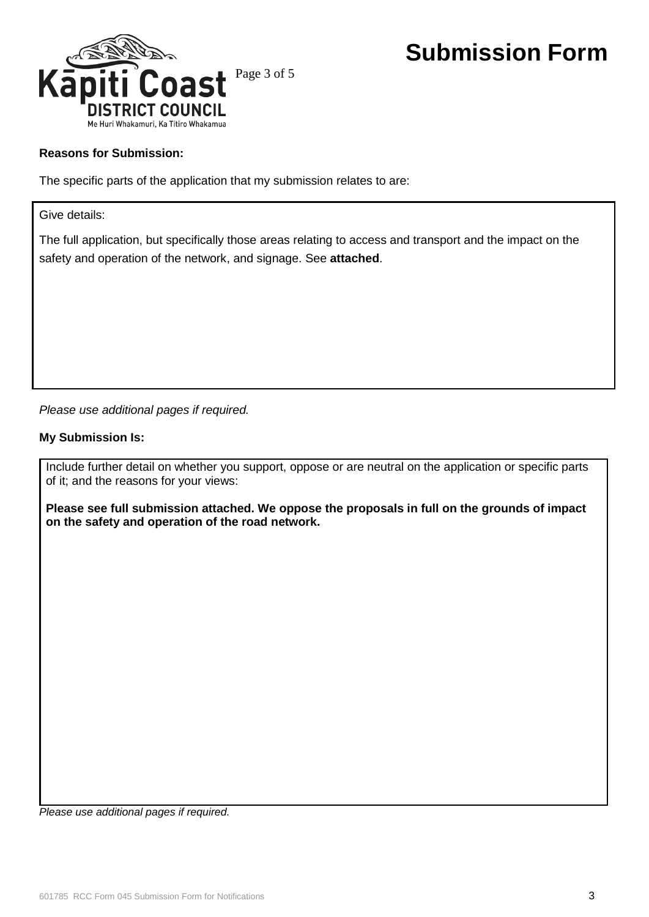

### **Reasons for Submission:**

The specific parts of the application that my submission relates to are:

Give details:

The full application, but specifically those areas relating to access and transport and the impact on the safety and operation of the network, and signage. See **attached**.

*Please use additional pages if required.*

#### **My Submission Is:**

Include further detail on whether you support, oppose or are neutral on the application or specific parts of it; and the reasons for your views:

**Please see full submission attached. We oppose the proposals in full on the grounds of impact on the safety and operation of the road network.**

*Please use additional pages if required.*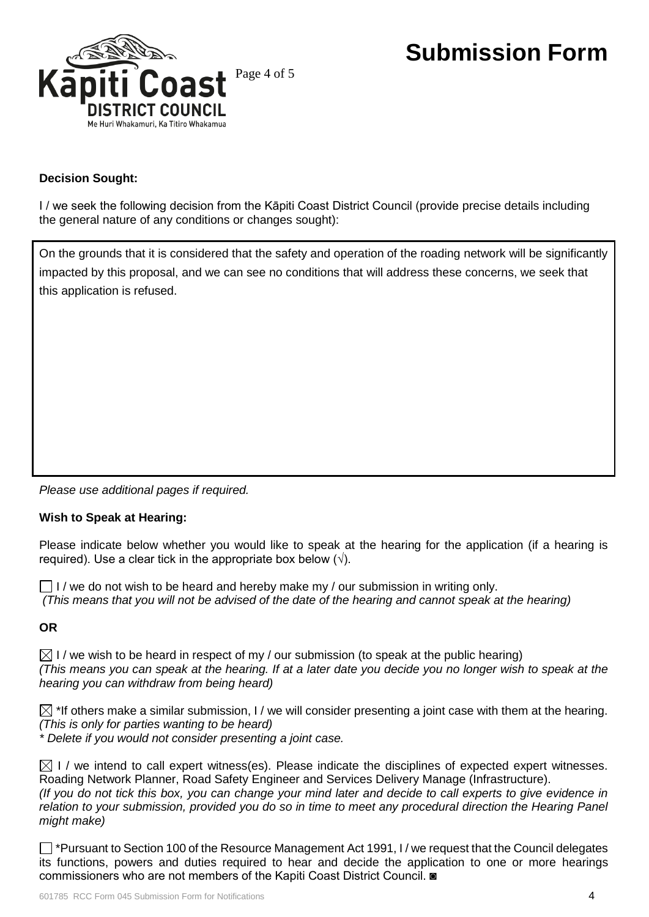

### **Decision Sought:**

I / we seek the following decision from the Kāpiti Coast District Council (provide precise details including the general nature of any conditions or changes sought):

On the grounds that it is considered that the safety and operation of the roading network will be significantly impacted by this proposal, and we can see no conditions that will address these concerns, we seek that this application is refused.

*Please use additional pages if required.*

### **Wish to Speak at Hearing:**

Please indicate below whether you would like to speak at the hearing for the application (if a hearing is required). Use a clear tick in the appropriate box below  $(\sqrt{)}$ .

 $\Box$  I / we do not wish to be heard and hereby make my / our submission in writing only. *(This means that you will not be advised of the date of the hearing and cannot speak at the hearing)*

### **OR**

 $\boxtimes$  I / we wish to be heard in respect of my / our submission (to speak at the public hearing) *(This means you can speak at the hearing. If at a later date you decide you no longer wish to speak at the hearing you can withdraw from being heard)*

 $\boxtimes$  \*If others make a similar submission, I / we will consider presenting a joint case with them at the hearing. *(This is only for parties wanting to be heard)* 

*\* Delete if you would not consider presenting a joint case.*

 $\boxtimes$  I / we intend to call expert witness(es). Please indicate the disciplines of expected expert witnesses. Roading Network Planner, Road Safety Engineer and Services Delivery Manage (Infrastructure). *(If you do not tick this box, you can change your mind later and decide to call experts to give evidence in relation to your submission, provided you do so in time to meet any procedural direction the Hearing Panel might make)*

 $\Box$  \*Pursuant to Section 100 of the Resource Management Act 1991, I / we request that the Council delegates its functions, powers and duties required to hear and decide the application to one or more hearings commissioners who are not members of the Kapiti Coast District Council. ◙